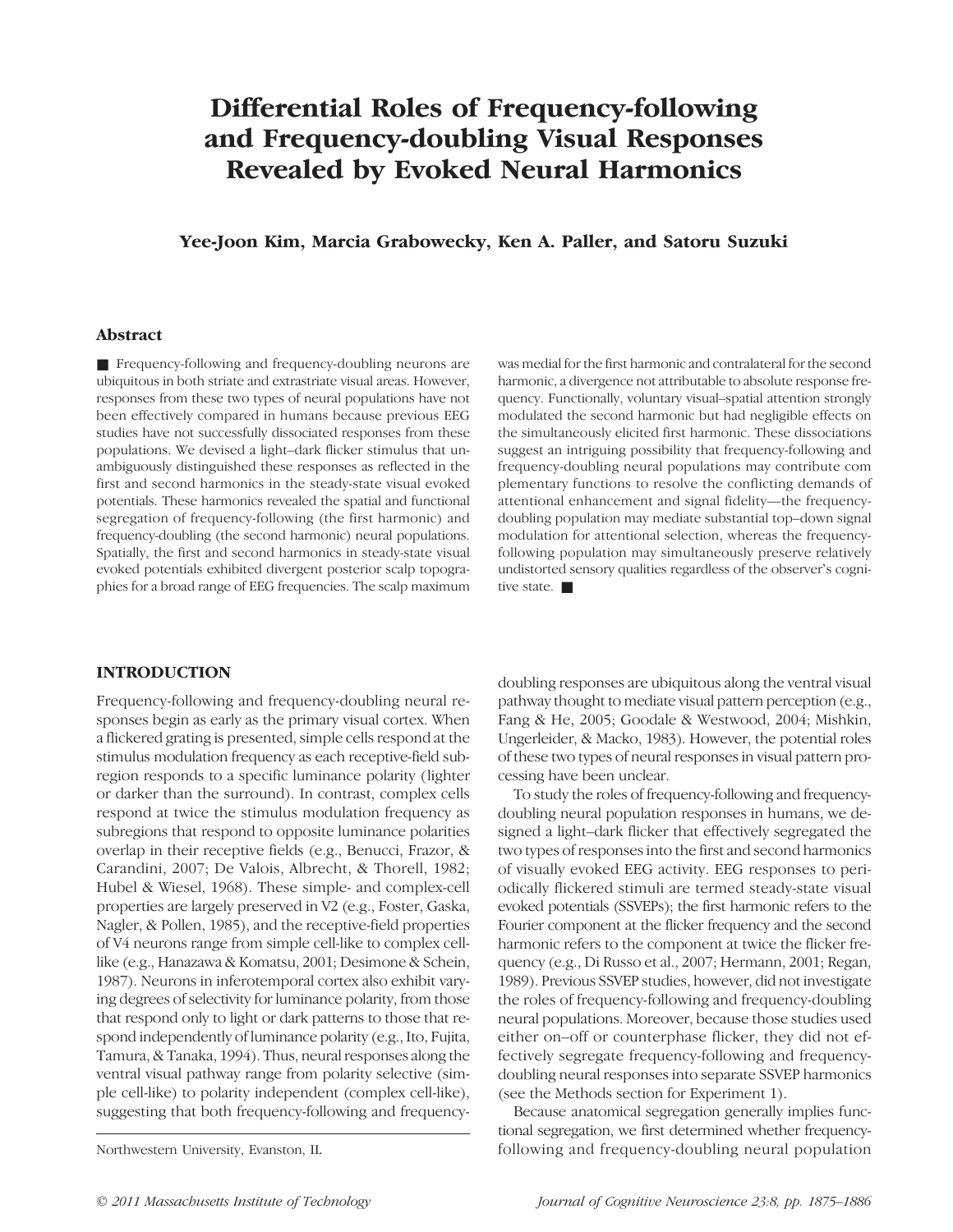# Differential Roles of Frequency-following and Frequency-doubling Visual Responses Revealed by Evoked Neural Harmonics

# Yee-Joon Kim, Marcia Grabowecky, Ken A. Paller, and Satoru Suzuki

# Abstract

■ Frequency-following and frequency-doubling neurons are ubiquitous in both striate and extrastriate visual areas. However, responses from these two types of neural populations have not been effectively compared in humans because previous EEG studies have not successfully dissociated responses from these populations. We devised a light–dark flicker stimulus that unambiguously distinguished these responses as reflected in the first and second harmonics in the steady-state visual evoked potentials. These harmonics revealed the spatial and functional segregation of frequency-following (the first harmonic) and frequency-doubling (the second harmonic) neural populations. Spatially, the first and second harmonics in steady-state visual evoked potentials exhibited divergent posterior scalp topographies for a broad range of EEG frequencies. The scalp maximum was medial for the first harmonic and contralateral for the second harmonic, a divergence not attributable to absolute response frequency. Functionally, voluntary visual–spatial attention strongly modulated the second harmonic but had negligible effects on the simultaneously elicited first harmonic. These dissociations suggest an intriguing possibility that frequency-following and frequency-doubling neural populations may contribute com plementary functions to resolve the conflicting demands of attentional enhancement and signal fidelity—the frequencydoubling population may mediate substantial top–down signal modulation for attentional selection, whereas the frequencyfollowing population may simultaneously preserve relatively undistorted sensory qualities regardless of the observer's cognitive state.  $\blacksquare$ 

### INTRODUCTION

Frequency-following and frequency-doubling neural responses begin as early as the primary visual cortex. When a flickered grating is presented, simple cells respond at the stimulus modulation frequency as each receptive-field subregion responds to a specific luminance polarity (lighter or darker than the surround). In contrast, complex cells respond at twice the stimulus modulation frequency as subregions that respond to opposite luminance polarities overlap in their receptive fields (e.g., Benucci, Frazor, & Carandini, 2007; De Valois, Albrecht, & Thorell, 1982; Hubel & Wiesel, 1968). These simple- and complex-cell properties are largely preserved in V2 (e.g., Foster, Gaska, Nagler, & Pollen, 1985), and the receptive-field properties of V4 neurons range from simple cell-like to complex celllike (e.g., Hanazawa & Komatsu, 2001; Desimone & Schein, 1987). Neurons in inferotemporal cortex also exhibit varying degrees of selectivity for luminance polarity, from those that respond only to light or dark patterns to those that respond independently of luminance polarity (e.g., Ito, Fujita, Tamura, & Tanaka, 1994). Thus, neural responses along the ventral visual pathway range from polarity selective (simple cell-like) to polarity independent (complex cell-like), suggesting that both frequency-following and frequency-

doubling responses are ubiquitous along the ventral visual pathway thought to mediate visual pattern perception (e.g., Fang & He, 2005; Goodale & Westwood, 2004; Mishkin, Ungerleider, & Macko, 1983). However, the potential roles of these two types of neural responses in visual pattern processing have been unclear.

To study the roles of frequency-following and frequencydoubling neural population responses in humans, we designed a light–dark flicker that effectively segregated the two types of responses into the first and second harmonics of visually evoked EEG activity. EEG responses to periodically flickered stimuli are termed steady-state visual evoked potentials (SSVEPs); the first harmonic refers to the Fourier component at the flicker frequency and the second harmonic refers to the component at twice the flicker frequency (e.g., Di Russo et al., 2007; Hermann, 2001; Regan, 1989). Previous SSVEP studies, however, did not investigate the roles of frequency-following and frequency-doubling neural populations. Moreover, because those studies used either on–off or counterphase flicker, they did not effectively segregate frequency-following and frequencydoubling neural responses into separate SSVEP harmonics (see the Methods section for Experiment 1).

Because anatomical segregation generally implies functional segregation, we first determined whether frequency-Northwestern University, Evanston, IL following and frequency-doubling neural population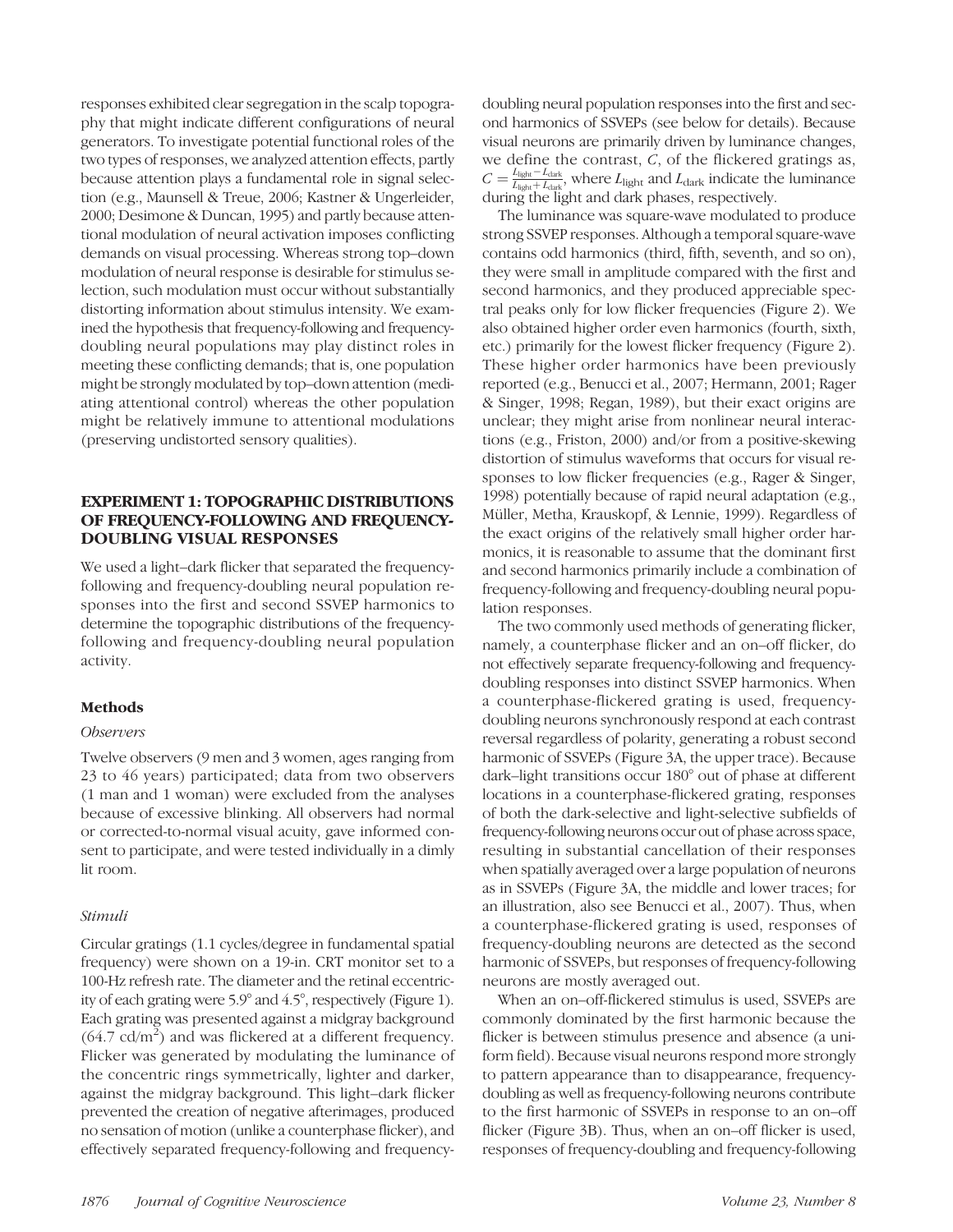responses exhibited clear segregation in the scalp topography that might indicate different configurations of neural generators. To investigate potential functional roles of the two types of responses, we analyzed attention effects, partly because attention plays a fundamental role in signal selection (e.g., Maunsell & Treue, 2006; Kastner & Ungerleider, 2000; Desimone & Duncan, 1995) and partly because attentional modulation of neural activation imposes conflicting demands on visual processing. Whereas strong top–down modulation of neural response is desirable for stimulus selection, such modulation must occur without substantially distorting information about stimulus intensity. We examined the hypothesis that frequency-following and frequencydoubling neural populations may play distinct roles in meeting these conflicting demands; that is, one population might be strongly modulated by top–down attention (mediating attentional control) whereas the other population might be relatively immune to attentional modulations (preserving undistorted sensory qualities).

# EXPERIMENT 1: TOPOGRAPHIC DISTRIBUTIONS OF FREQUENCY-FOLLOWING AND FREQUENCY-DOUBLING VISUAL RESPONSES

We used a light–dark flicker that separated the frequencyfollowing and frequency-doubling neural population responses into the first and second SSVEP harmonics to determine the topographic distributions of the frequencyfollowing and frequency-doubling neural population activity.

# Methods

## **Observers**

Twelve observers (9 men and 3 women, ages ranging from 23 to 46 years) participated; data from two observers (1 man and 1 woman) were excluded from the analyses because of excessive blinking. All observers had normal or corrected-to-normal visual acuity, gave informed consent to participate, and were tested individually in a dimly lit room.

## Stimuli

Circular gratings (1.1 cycles/degree in fundamental spatial frequency) were shown on a 19-in. CRT monitor set to a 100-Hz refresh rate. The diameter and the retinal eccentricity of each grating were 5.9° and 4.5°, respectively (Figure 1). Each grating was presented against a midgray background  $(64.7 \text{ cd/m}^2)$  and was flickered at a different frequency. Flicker was generated by modulating the luminance of the concentric rings symmetrically, lighter and darker, against the midgray background. This light–dark flicker prevented the creation of negative afterimages, produced no sensation of motion (unlike a counterphase flicker), and effectively separated frequency-following and frequencydoubling neural population responses into the first and second harmonics of SSVEPs (see below for details). Because visual neurons are primarily driven by luminance changes, we define the contrast, C, of the flickered gratings as,  $C = \frac{L_{light} - L_{dark}}{L_{light} + L_{dark}}$ , where  $L_{light}$  and  $L_{dark}$  indicate the luminance during the light and dark phases, respectively.

The luminance was square-wave modulated to produce strong SSVEP responses. Although a temporal square-wave contains odd harmonics (third, fifth, seventh, and so on), they were small in amplitude compared with the first and second harmonics, and they produced appreciable spectral peaks only for low flicker frequencies (Figure 2). We also obtained higher order even harmonics (fourth, sixth, etc.) primarily for the lowest flicker frequency (Figure 2). These higher order harmonics have been previously reported (e.g., Benucci et al., 2007; Hermann, 2001; Rager & Singer, 1998; Regan, 1989), but their exact origins are unclear; they might arise from nonlinear neural interactions (e.g., Friston, 2000) and/or from a positive-skewing distortion of stimulus waveforms that occurs for visual responses to low flicker frequencies (e.g., Rager & Singer, 1998) potentially because of rapid neural adaptation (e.g., Müller, Metha, Krauskopf, & Lennie, 1999). Regardless of the exact origins of the relatively small higher order harmonics, it is reasonable to assume that the dominant first and second harmonics primarily include a combination of frequency-following and frequency-doubling neural population responses.

The two commonly used methods of generating flicker, namely, a counterphase flicker and an on–off flicker, do not effectively separate frequency-following and frequencydoubling responses into distinct SSVEP harmonics. When a counterphase-flickered grating is used, frequencydoubling neurons synchronously respond at each contrast reversal regardless of polarity, generating a robust second harmonic of SSVEPs (Figure 3A, the upper trace). Because dark–light transitions occur 180° out of phase at different locations in a counterphase-flickered grating, responses of both the dark-selective and light-selective subfields of frequency-following neurons occur out of phase across space, resulting in substantial cancellation of their responses when spatially averaged over a large population of neurons as in SSVEPs (Figure 3A, the middle and lower traces; for an illustration, also see Benucci et al., 2007). Thus, when a counterphase-flickered grating is used, responses of frequency-doubling neurons are detected as the second harmonic of SSVEPs, but responses of frequency-following neurons are mostly averaged out.

When an on–off-flickered stimulus is used, SSVEPs are commonly dominated by the first harmonic because the flicker is between stimulus presence and absence (a uniform field). Because visual neurons respond more strongly to pattern appearance than to disappearance, frequencydoubling as well as frequency-following neurons contribute to the first harmonic of SSVEPs in response to an on–off flicker (Figure 3B). Thus, when an on–off flicker is used, responses of frequency-doubling and frequency-following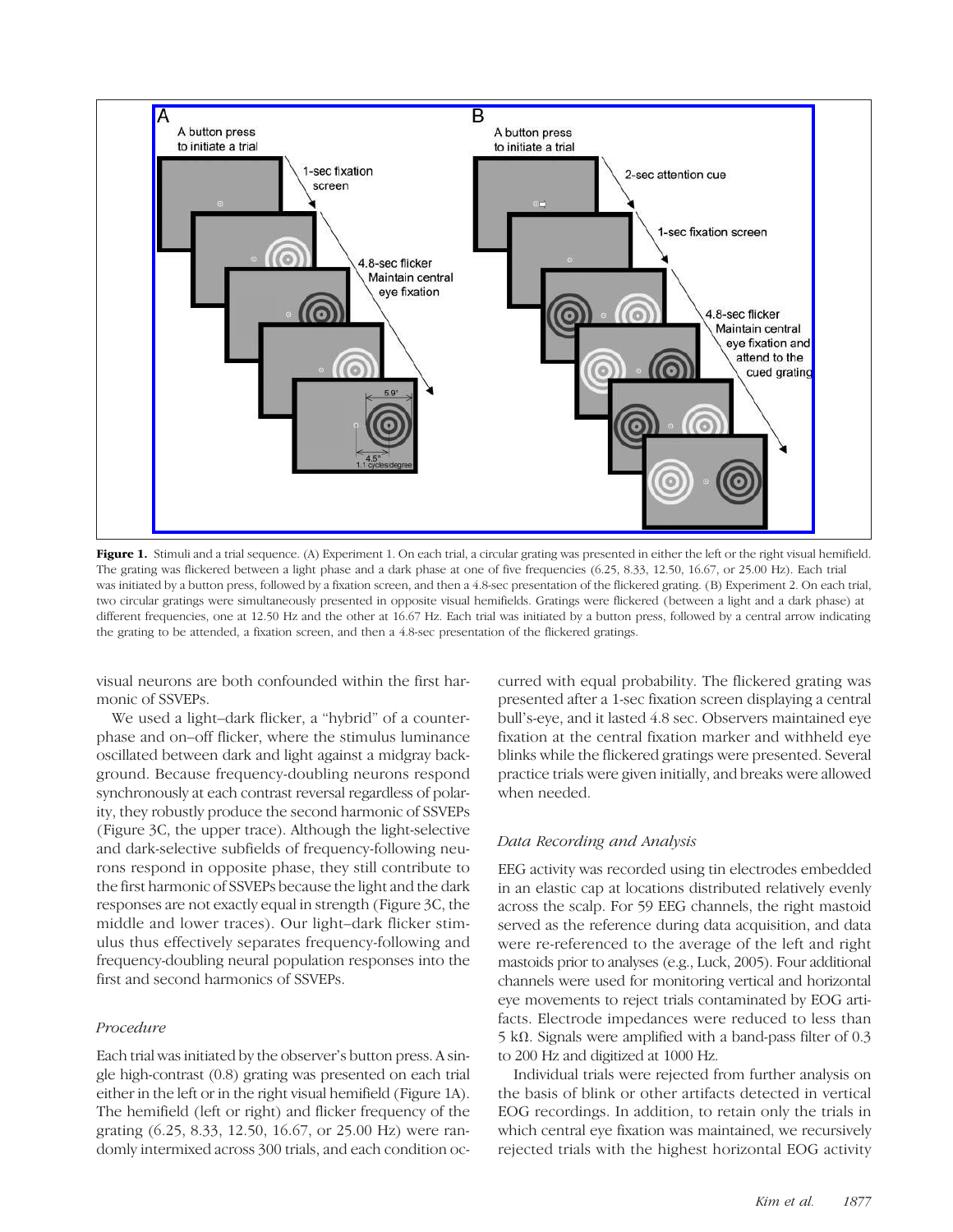

Figure 1. Stimuli and a trial sequence. (A) Experiment 1. On each trial, a circular grating was presented in either the left or the right visual hemifield. The grating was flickered between a light phase and a dark phase at one of five frequencies (6.25, 8.33, 12.50, 16.67, or 25.00 Hz). Each trial was initiated by a button press, followed by a fixation screen, and then a 4.8-sec presentation of the flickered grating. (B) Experiment 2. On each trial, two circular gratings were simultaneously presented in opposite visual hemifields. Gratings were flickered (between a light and a dark phase) at different frequencies, one at 12.50 Hz and the other at 16.67 Hz. Each trial was initiated by a button press, followed by a central arrow indicating the grating to be attended, a fixation screen, and then a 4.8-sec presentation of the flickered gratings.

visual neurons are both confounded within the first harmonic of SSVEPs.

We used a light–dark flicker, a "hybrid" of a counterphase and on–off flicker, where the stimulus luminance oscillated between dark and light against a midgray background. Because frequency-doubling neurons respond synchronously at each contrast reversal regardless of polarity, they robustly produce the second harmonic of SSVEPs (Figure 3C, the upper trace). Although the light-selective and dark-selective subfields of frequency-following neurons respond in opposite phase, they still contribute to the first harmonic of SSVEPs because the light and the dark responses are not exactly equal in strength (Figure 3C, the middle and lower traces). Our light–dark flicker stimulus thus effectively separates frequency-following and frequency-doubling neural population responses into the first and second harmonics of SSVEPs.

# Procedure

Each trial was initiated by the observer's button press. A single high-contrast (0.8) grating was presented on each trial either in the left or in the right visual hemifield (Figure 1A). The hemifield (left or right) and flicker frequency of the grating (6.25, 8.33, 12.50, 16.67, or 25.00 Hz) were randomly intermixed across 300 trials, and each condition oc-

curred with equal probability. The flickered grating was presented after a 1-sec fixation screen displaying a central bull's-eye, and it lasted 4.8 sec. Observers maintained eye fixation at the central fixation marker and withheld eye blinks while the flickered gratings were presented. Several practice trials were given initially, and breaks were allowed when needed.

# Data Recording and Analysis

EEG activity was recorded using tin electrodes embedded in an elastic cap at locations distributed relatively evenly across the scalp. For 59 EEG channels, the right mastoid served as the reference during data acquisition, and data were re-referenced to the average of the left and right mastoids prior to analyses (e.g., Luck, 2005). Four additional channels were used for monitoring vertical and horizontal eye movements to reject trials contaminated by EOG artifacts. Electrode impedances were reduced to less than 5 kΩ. Signals were amplified with a band-pass filter of 0.3 to 200 Hz and digitized at 1000 Hz.

Individual trials were rejected from further analysis on the basis of blink or other artifacts detected in vertical EOG recordings. In addition, to retain only the trials in which central eye fixation was maintained, we recursively rejected trials with the highest horizontal EOG activity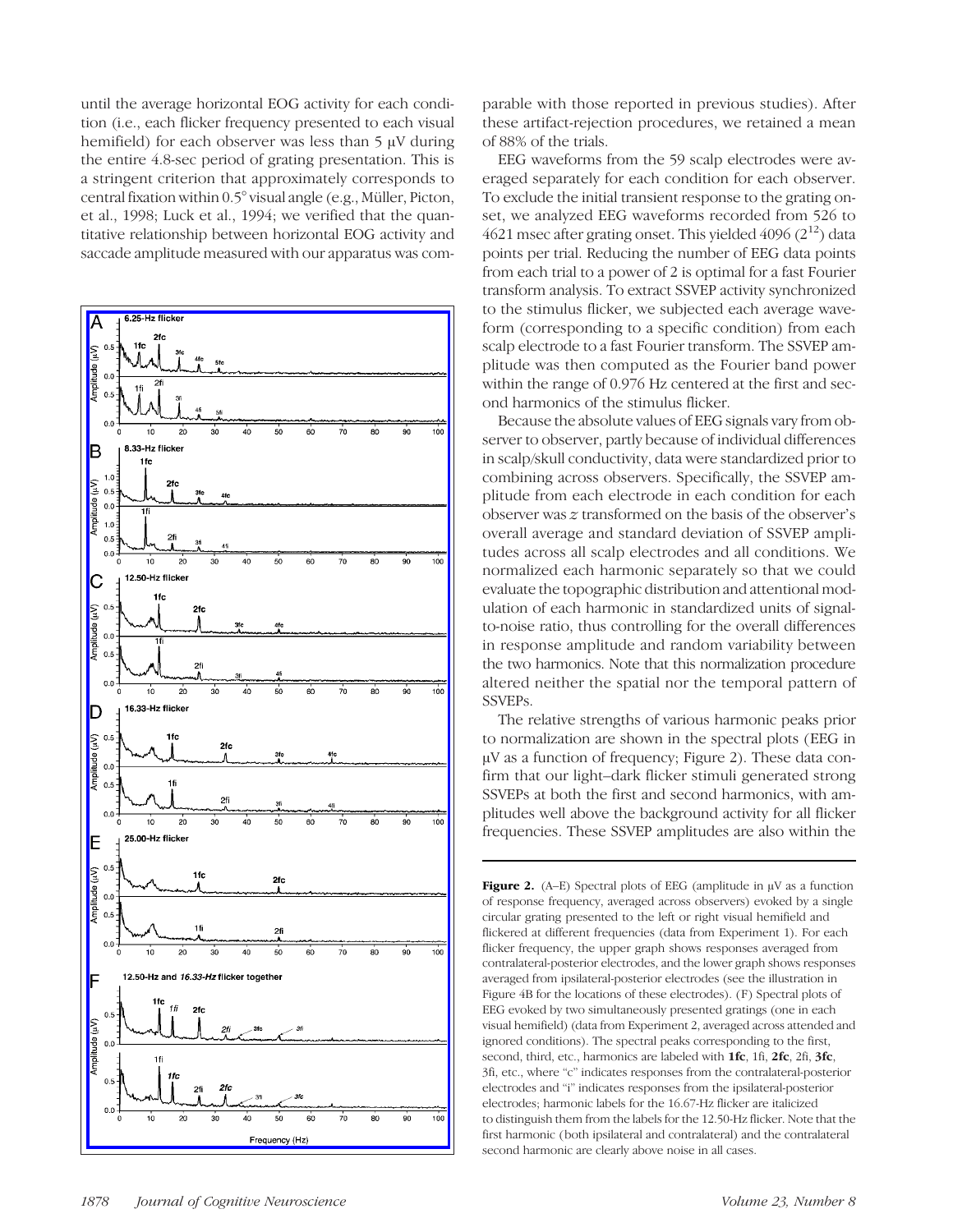until the average horizontal EOG activity for each condition (i.e., each flicker frequency presented to each visual hemifield) for each observer was less than 5 μV during the entire 4.8-sec period of grating presentation. This is a stringent criterion that approximately corresponds to central fixation within 0.5° visual angle (e.g., Müller, Picton, et al., 1998; Luck et al., 1994; we verified that the quantitative relationship between horizontal EOG activity and saccade amplitude measured with our apparatus was com-



parable with those reported in previous studies). After these artifact-rejection procedures, we retained a mean of 88% of the trials.

EEG waveforms from the 59 scalp electrodes were averaged separately for each condition for each observer. To exclude the initial transient response to the grating onset, we analyzed EEG waveforms recorded from 526 to 4621 msec after grating onset. This yielded 4096  $(2^{12})$  data points per trial. Reducing the number of EEG data points from each trial to a power of 2 is optimal for a fast Fourier transform analysis. To extract SSVEP activity synchronized to the stimulus flicker, we subjected each average waveform (corresponding to a specific condition) from each scalp electrode to a fast Fourier transform. The SSVEP amplitude was then computed as the Fourier band power within the range of 0.976 Hz centered at the first and second harmonics of the stimulus flicker.

Because the absolute values of EEG signals vary from observer to observer, partly because of individual differences in scalp/skull conductivity, data were standardized prior to combining across observers. Specifically, the SSVEP amplitude from each electrode in each condition for each observer was z transformed on the basis of the observer's overall average and standard deviation of SSVEP amplitudes across all scalp electrodes and all conditions. We normalized each harmonic separately so that we could evaluate the topographic distribution and attentional modulation of each harmonic in standardized units of signalto-noise ratio, thus controlling for the overall differences in response amplitude and random variability between the two harmonics. Note that this normalization procedure altered neither the spatial nor the temporal pattern of SSVEPs.

The relative strengths of various harmonic peaks prior to normalization are shown in the spectral plots (EEG in μV as a function of frequency; Figure 2). These data confirm that our light–dark flicker stimuli generated strong SSVEPs at both the first and second harmonics, with amplitudes well above the background activity for all flicker frequencies. These SSVEP amplitudes are also within the

Figure 2. (A–E) Spectral plots of EEG (amplitude in  $\mu$ V as a function of response frequency, averaged across observers) evoked by a single circular grating presented to the left or right visual hemifield and flickered at different frequencies (data from Experiment 1). For each flicker frequency, the upper graph shows responses averaged from contralateral-posterior electrodes, and the lower graph shows responses averaged from ipsilateral-posterior electrodes (see the illustration in Figure 4B for the locations of these electrodes). (F) Spectral plots of EEG evoked by two simultaneously presented gratings (one in each visual hemifield) (data from Experiment 2, averaged across attended and ignored conditions). The spectral peaks corresponding to the first, second, third, etc., harmonics are labeled with **1fc**, 1fi, 2fc, 2fi, 3fc, 3fi, etc., where "c" indicates responses from the contralateral-posterior electrodes and "i" indicates responses from the ipsilateral-posterior electrodes; harmonic labels for the 16.67-Hz flicker are italicized to distinguish them from the labels for the 12.50-Hz flicker. Note that the first harmonic (both ipsilateral and contralateral) and the contralateral second harmonic are clearly above noise in all cases.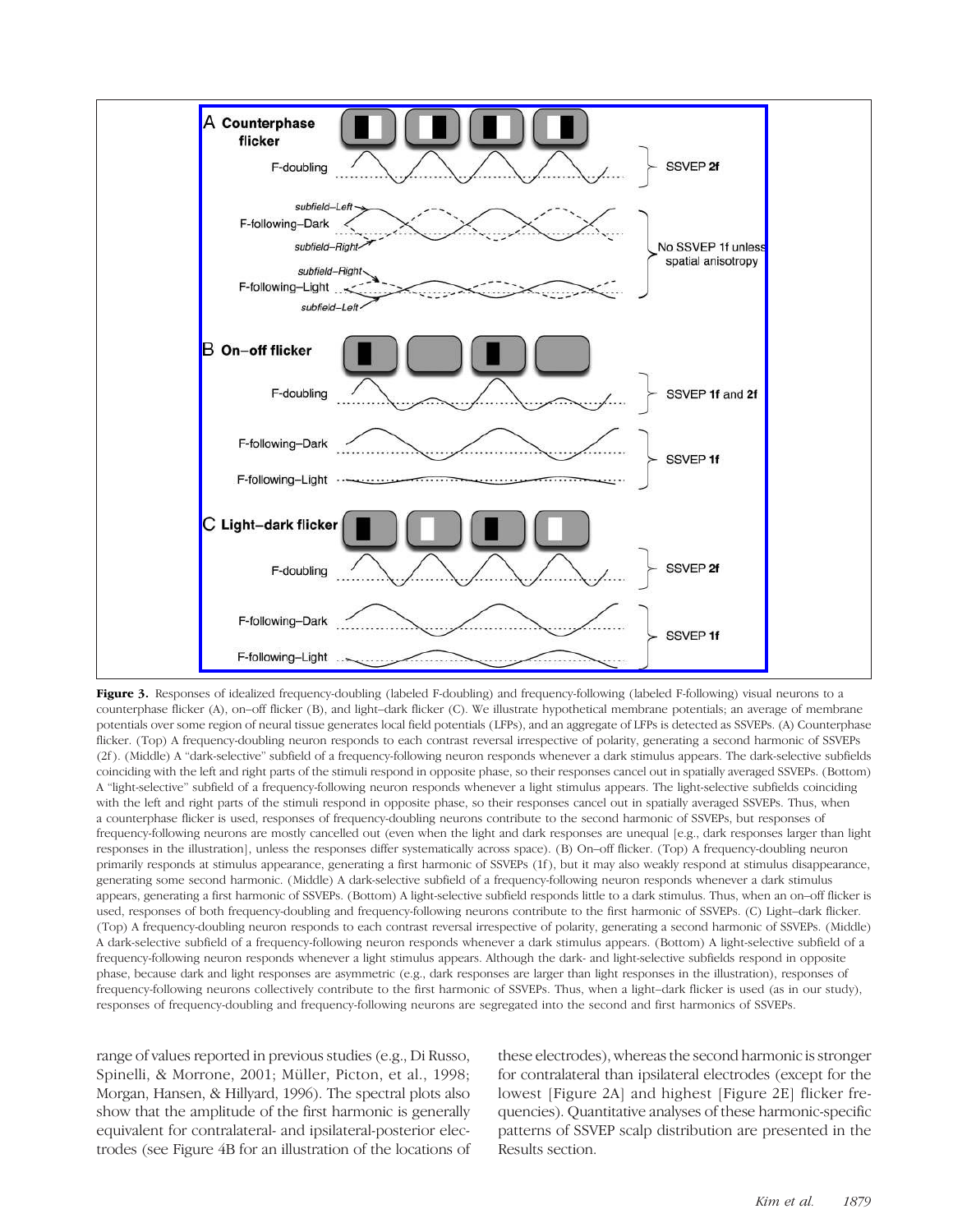

Figure 3. Responses of idealized frequency-doubling (labeled F-doubling) and frequency-following (labeled F-following) visual neurons to a counterphase flicker (A), on–off flicker (B), and light–dark flicker (C). We illustrate hypothetical membrane potentials; an average of membrane potentials over some region of neural tissue generates local field potentials (LFPs), and an aggregate of LFPs is detected as SSVEPs. (A) Counterphase flicker. (Top) A frequency-doubling neuron responds to each contrast reversal irrespective of polarity, generating a second harmonic of SSVEPs (2f ). (Middle) A "dark-selective" subfield of a frequency-following neuron responds whenever a dark stimulus appears. The dark-selective subfields coinciding with the left and right parts of the stimuli respond in opposite phase, so their responses cancel out in spatially averaged SSVEPs. (Bottom) A "light-selective" subfield of a frequency-following neuron responds whenever a light stimulus appears. The light-selective subfields coinciding with the left and right parts of the stimuli respond in opposite phase, so their responses cancel out in spatially averaged SSVEPs. Thus, when a counterphase flicker is used, responses of frequency-doubling neurons contribute to the second harmonic of SSVEPs, but responses of frequency-following neurons are mostly cancelled out (even when the light and dark responses are unequal [e.g., dark responses larger than light responses in the illustration], unless the responses differ systematically across space). (B) On–off flicker. (Top) A frequency-doubling neuron primarily responds at stimulus appearance, generating a first harmonic of SSVEPs (1f ), but it may also weakly respond at stimulus disappearance, generating some second harmonic. (Middle) A dark-selective subfield of a frequency-following neuron responds whenever a dark stimulus appears, generating a first harmonic of SSVEPs. (Bottom) A light-selective subfield responds little to a dark stimulus. Thus, when an on–off flicker is used, responses of both frequency-doubling and frequency-following neurons contribute to the first harmonic of SSVEPs. (C) Light–dark flicker. (Top) A frequency-doubling neuron responds to each contrast reversal irrespective of polarity, generating a second harmonic of SSVEPs. (Middle) A dark-selective subfield of a frequency-following neuron responds whenever a dark stimulus appears. (Bottom) A light-selective subfield of a frequency-following neuron responds whenever a light stimulus appears. Although the dark- and light-selective subfields respond in opposite phase, because dark and light responses are asymmetric (e.g., dark responses are larger than light responses in the illustration), responses of frequency-following neurons collectively contribute to the first harmonic of SSVEPs. Thus, when a light–dark flicker is used (as in our study), responses of frequency-doubling and frequency-following neurons are segregated into the second and first harmonics of SSVEPs.

range of values reported in previous studies (e.g., Di Russo, Spinelli, & Morrone, 2001; Müller, Picton, et al., 1998; Morgan, Hansen, & Hillyard, 1996). The spectral plots also show that the amplitude of the first harmonic is generally equivalent for contralateral- and ipsilateral-posterior electrodes (see Figure 4B for an illustration of the locations of

these electrodes), whereas the second harmonic is stronger for contralateral than ipsilateral electrodes (except for the lowest [Figure 2A] and highest [Figure 2E] flicker frequencies). Quantitative analyses of these harmonic-specific patterns of SSVEP scalp distribution are presented in the Results section.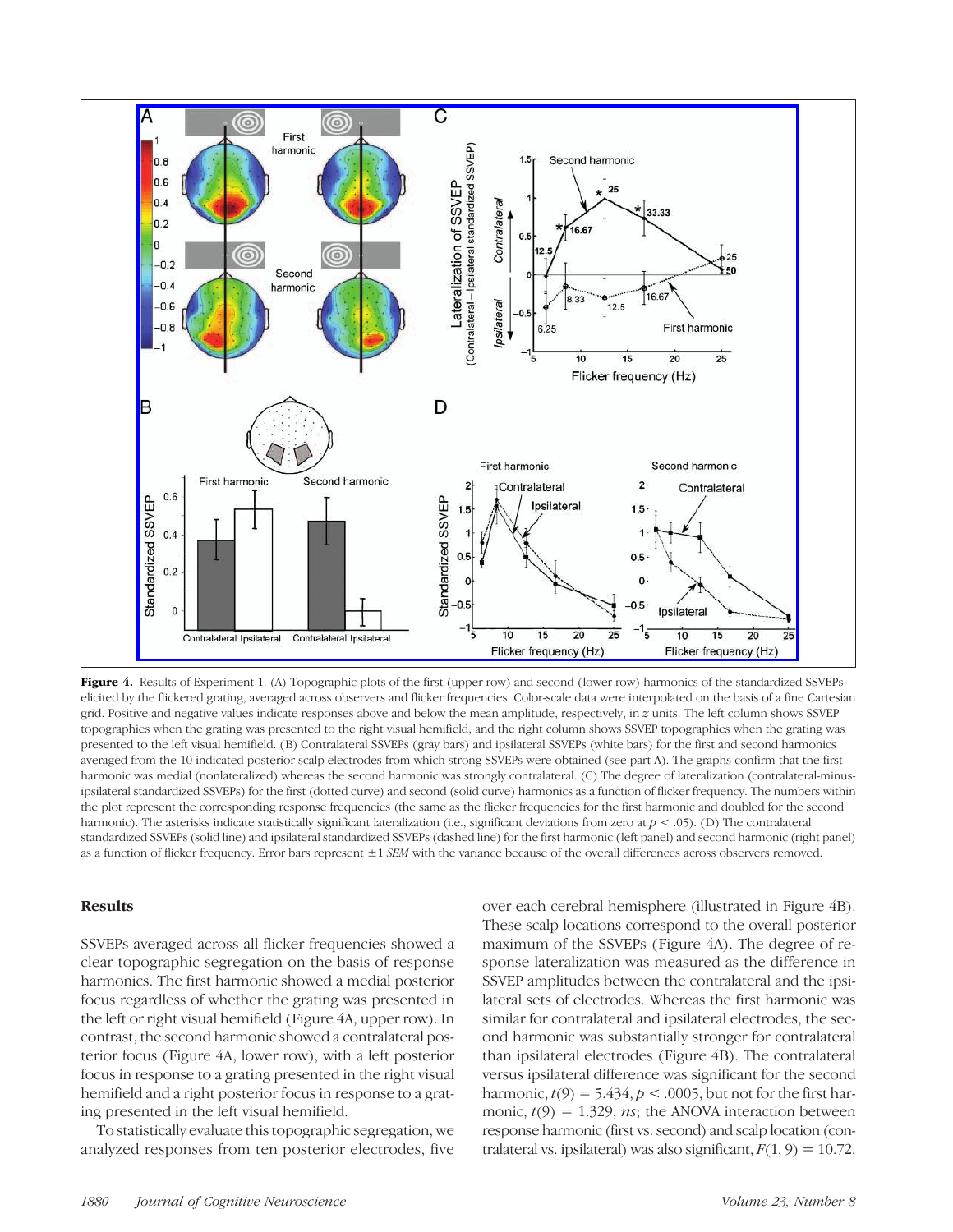

Figure 4. Results of Experiment 1. (A) Topographic plots of the first (upper row) and second (lower row) harmonics of the standardized SSVEPs elicited by the flickered grating, averaged across observers and flicker frequencies. Color-scale data were interpolated on the basis of a fine Cartesian grid. Positive and negative values indicate responses above and below the mean amplitude, respectively, in z units. The left column shows SSVEP topographies when the grating was presented to the right visual hemifield, and the right column shows SSVEP topographies when the grating was presented to the left visual hemifield. (B) Contralateral SSVEPs (gray bars) and ipsilateral SSVEPs (white bars) for the first and second harmonics averaged from the 10 indicated posterior scalp electrodes from which strong SSVEPs were obtained (see part A). The graphs confirm that the first harmonic was medial (nonlateralized) whereas the second harmonic was strongly contralateral. (C) The degree of lateralization (contralateral-minusipsilateral standardized SSVEPs) for the first (dotted curve) and second (solid curve) harmonics as a function of flicker frequency. The numbers within the plot represent the corresponding response frequencies (the same as the flicker frequencies for the first harmonic and doubled for the second harmonic). The asterisks indicate statistically significant lateralization (i.e., significant deviations from zero at  $p < .05$ ). (D) The contralateral standardized SSVEPs (solid line) and ipsilateral standardized SSVEPs (dashed line) for the first harmonic (left panel) and second harmonic (right panel) as a function of flicker frequency. Error bars represent  $\pm 1$  SEM with the variance because of the overall differences across observers removed.

#### Results

SSVEPs averaged across all flicker frequencies showed a clear topographic segregation on the basis of response harmonics. The first harmonic showed a medial posterior focus regardless of whether the grating was presented in the left or right visual hemifield (Figure 4A, upper row). In contrast, the second harmonic showed a contralateral posterior focus (Figure 4A, lower row), with a left posterior focus in response to a grating presented in the right visual hemifield and a right posterior focus in response to a grating presented in the left visual hemifield.

To statistically evaluate this topographic segregation, we analyzed responses from ten posterior electrodes, five

over each cerebral hemisphere (illustrated in Figure 4B). These scalp locations correspond to the overall posterior maximum of the SSVEPs (Figure 4A). The degree of response lateralization was measured as the difference in SSVEP amplitudes between the contralateral and the ipsilateral sets of electrodes. Whereas the first harmonic was similar for contralateral and ipsilateral electrodes, the second harmonic was substantially stronger for contralateral than ipsilateral electrodes (Figure 4B). The contralateral versus ipsilateral difference was significant for the second harmonic,  $t(9) = 5.434$ ,  $p < .0005$ , but not for the first harmonic,  $t(9) = 1.329$ , *ns*; the ANOVA interaction between response harmonic (first vs. second) and scalp location (contralateral vs. ipsilateral) was also significant,  $F(1, 9) = 10.72$ ,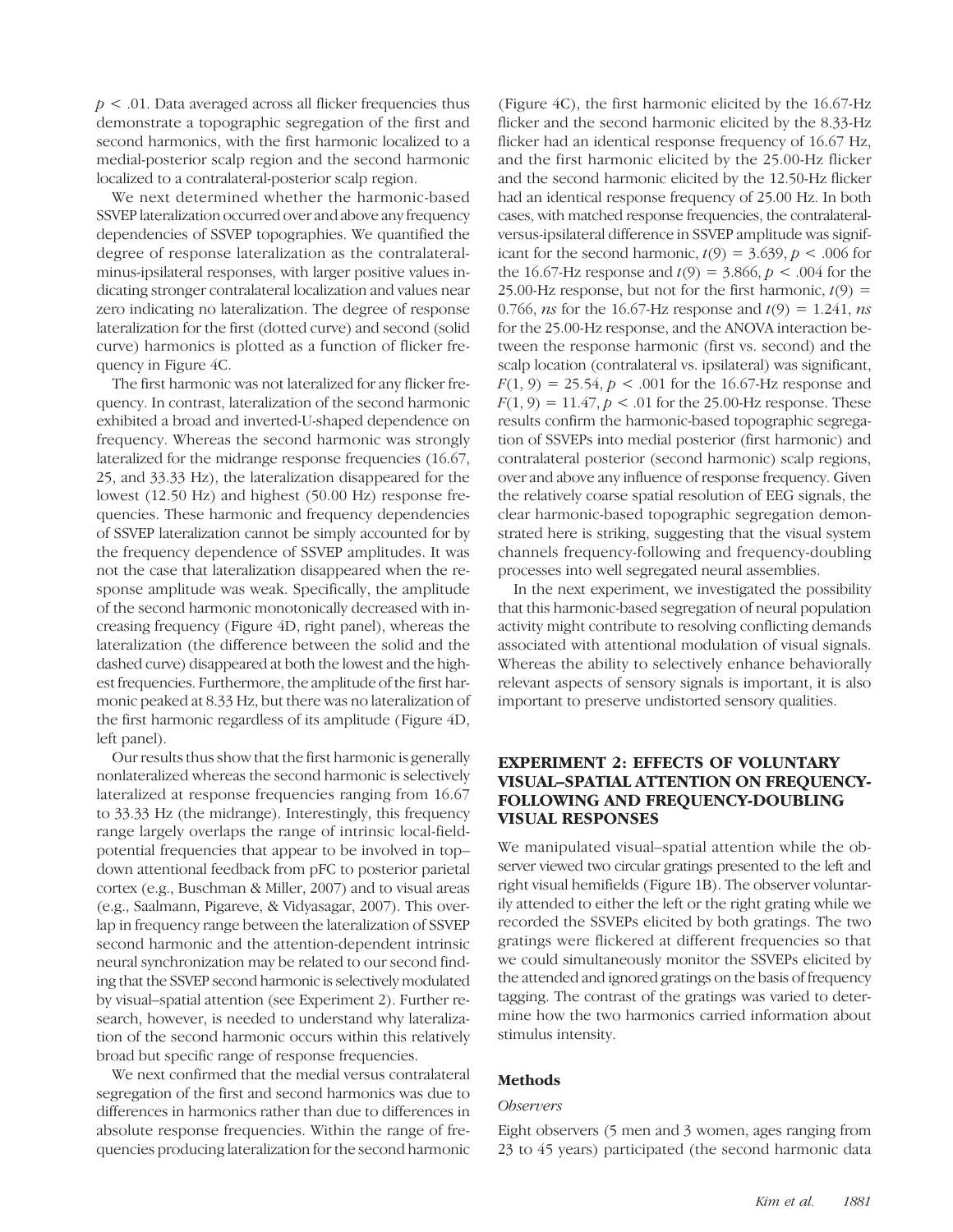$p < .01$ . Data averaged across all flicker frequencies thus demonstrate a topographic segregation of the first and second harmonics, with the first harmonic localized to a medial-posterior scalp region and the second harmonic localized to a contralateral-posterior scalp region.

We next determined whether the harmonic-based SSVEP lateralization occurred over and above any frequency dependencies of SSVEP topographies. We quantified the degree of response lateralization as the contralateralminus-ipsilateral responses, with larger positive values indicating stronger contralateral localization and values near zero indicating no lateralization. The degree of response lateralization for the first (dotted curve) and second (solid curve) harmonics is plotted as a function of flicker frequency in Figure 4C.

The first harmonic was not lateralized for any flicker frequency. In contrast, lateralization of the second harmonic exhibited a broad and inverted-U-shaped dependence on frequency. Whereas the second harmonic was strongly lateralized for the midrange response frequencies (16.67, 25, and 33.33 Hz), the lateralization disappeared for the lowest (12.50 Hz) and highest (50.00 Hz) response frequencies. These harmonic and frequency dependencies of SSVEP lateralization cannot be simply accounted for by the frequency dependence of SSVEP amplitudes. It was not the case that lateralization disappeared when the response amplitude was weak. Specifically, the amplitude of the second harmonic monotonically decreased with increasing frequency (Figure 4D, right panel), whereas the lateralization (the difference between the solid and the dashed curve) disappeared at both the lowest and the highest frequencies. Furthermore, the amplitude of the first harmonic peaked at 8.33 Hz, but there was no lateralization of the first harmonic regardless of its amplitude (Figure 4D, left panel).

Our results thus show that the first harmonic is generally nonlateralized whereas the second harmonic is selectively lateralized at response frequencies ranging from 16.67 to 33.33 Hz (the midrange). Interestingly, this frequency range largely overlaps the range of intrinsic local-fieldpotential frequencies that appear to be involved in top– down attentional feedback from pFC to posterior parietal cortex (e.g., Buschman & Miller, 2007) and to visual areas (e.g., Saalmann, Pigareve, & Vidyasagar, 2007). This overlap in frequency range between the lateralization of SSVEP second harmonic and the attention-dependent intrinsic neural synchronization may be related to our second finding that the SSVEP second harmonic is selectively modulated by visual–spatial attention (see Experiment 2). Further research, however, is needed to understand why lateralization of the second harmonic occurs within this relatively broad but specific range of response frequencies.

We next confirmed that the medial versus contralateral segregation of the first and second harmonics was due to differences in harmonics rather than due to differences in absolute response frequencies. Within the range of frequencies producing lateralization for the second harmonic

(Figure 4C), the first harmonic elicited by the 16.67-Hz flicker and the second harmonic elicited by the 8.33-Hz flicker had an identical response frequency of 16.67 Hz, and the first harmonic elicited by the 25.00-Hz flicker and the second harmonic elicited by the 12.50-Hz flicker had an identical response frequency of 25.00 Hz. In both cases, with matched response frequencies, the contralateralversus-ipsilateral difference in SSVEP amplitude was significant for the second harmonic,  $t(9) = 3.639$ ,  $p < .006$  for the 16.67-Hz response and  $t(9) = 3.866$ ,  $p < .004$  for the 25.00-Hz response, but not for the first harmonic,  $t(9) =$ 0.766, *ns* for the 16.67-Hz response and  $t(9) = 1.241$ , *ns* for the 25.00-Hz response, and the ANOVA interaction between the response harmonic (first vs. second) and the scalp location (contralateral vs. ipsilateral) was significant,  $F(1, 9) = 25.54, p < .001$  for the 16.67-Hz response and  $F(1, 9) = 11.47, p < .01$  for the 25.00-Hz response. These results confirm the harmonic-based topographic segregation of SSVEPs into medial posterior (first harmonic) and contralateral posterior (second harmonic) scalp regions, over and above any influence of response frequency. Given the relatively coarse spatial resolution of EEG signals, the clear harmonic-based topographic segregation demonstrated here is striking, suggesting that the visual system channels frequency-following and frequency-doubling processes into well segregated neural assemblies.

In the next experiment, we investigated the possibility that this harmonic-based segregation of neural population activity might contribute to resolving conflicting demands associated with attentional modulation of visual signals. Whereas the ability to selectively enhance behaviorally relevant aspects of sensory signals is important, it is also important to preserve undistorted sensory qualities.

# EXPERIMENT 2: EFFECTS OF VOLUNTARY VISUAL–SPATIAL ATTENTION ON FREQUENCY-FOLLOWING AND FREQUENCY-DOUBLING VISUAL RESPONSES

We manipulated visual–spatial attention while the observer viewed two circular gratings presented to the left and right visual hemifields (Figure 1B). The observer voluntarily attended to either the left or the right grating while we recorded the SSVEPs elicited by both gratings. The two gratings were flickered at different frequencies so that we could simultaneously monitor the SSVEPs elicited by the attended and ignored gratings on the basis of frequency tagging. The contrast of the gratings was varied to determine how the two harmonics carried information about stimulus intensity.

## Methods

#### **Observers**

Eight observers (5 men and 3 women, ages ranging from 23 to 45 years) participated (the second harmonic data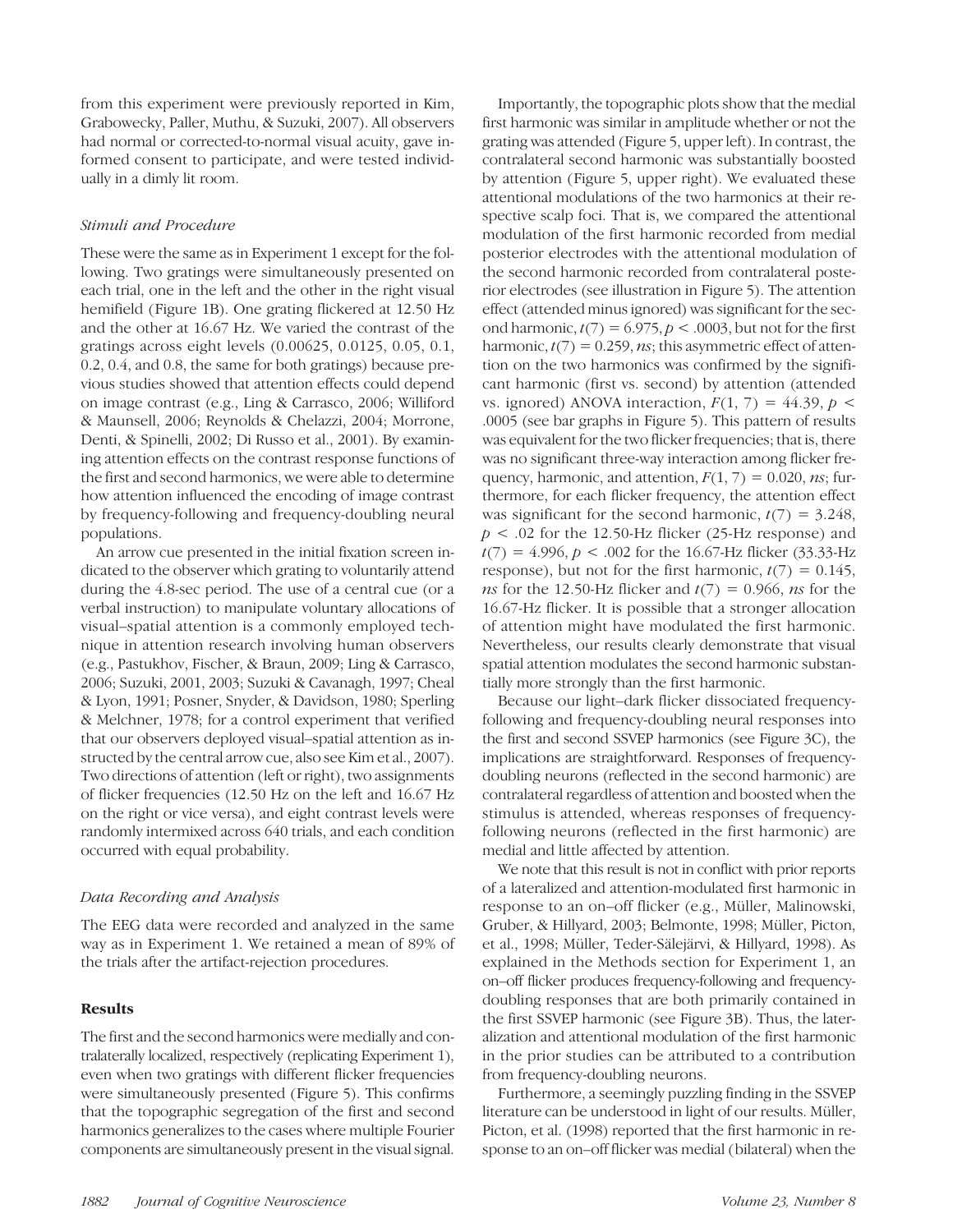from this experiment were previously reported in Kim, Grabowecky, Paller, Muthu, & Suzuki, 2007). All observers had normal or corrected-to-normal visual acuity, gave informed consent to participate, and were tested individually in a dimly lit room.

## Stimuli and Procedure

These were the same as in Experiment 1 except for the following. Two gratings were simultaneously presented on each trial, one in the left and the other in the right visual hemifield (Figure 1B). One grating flickered at 12.50 Hz and the other at 16.67 Hz. We varied the contrast of the gratings across eight levels (0.00625, 0.0125, 0.05, 0.1, 0.2, 0.4, and 0.8, the same for both gratings) because previous studies showed that attention effects could depend on image contrast (e.g., Ling & Carrasco, 2006; Williford & Maunsell, 2006; Reynolds & Chelazzi, 2004; Morrone, Denti, & Spinelli, 2002; Di Russo et al., 2001). By examining attention effects on the contrast response functions of the first and second harmonics, we were able to determine how attention influenced the encoding of image contrast by frequency-following and frequency-doubling neural populations.

An arrow cue presented in the initial fixation screen indicated to the observer which grating to voluntarily attend during the 4.8-sec period. The use of a central cue (or a verbal instruction) to manipulate voluntary allocations of visual–spatial attention is a commonly employed technique in attention research involving human observers (e.g., Pastukhov, Fischer, & Braun, 2009; Ling & Carrasco, 2006; Suzuki, 2001, 2003; Suzuki & Cavanagh, 1997; Cheal & Lyon, 1991; Posner, Snyder, & Davidson, 1980; Sperling & Melchner, 1978; for a control experiment that verified that our observers deployed visual–spatial attention as instructed by the central arrow cue, also see Kim et al., 2007). Two directions of attention (left or right), two assignments of flicker frequencies (12.50 Hz on the left and 16.67 Hz on the right or vice versa), and eight contrast levels were randomly intermixed across 640 trials, and each condition occurred with equal probability.

## Data Recording and Analysis

The EEG data were recorded and analyzed in the same way as in Experiment 1. We retained a mean of 89% of the trials after the artifact-rejection procedures.

# Results

The first and the second harmonics were medially and contralaterally localized, respectively (replicating Experiment 1), even when two gratings with different flicker frequencies were simultaneously presented (Figure 5). This confirms that the topographic segregation of the first and second harmonics generalizes to the cases where multiple Fourier components are simultaneously present in the visual signal.

Importantly, the topographic plots show that the medial first harmonic was similar in amplitude whether or not the grating was attended (Figure 5, upper left). In contrast, the contralateral second harmonic was substantially boosted by attention (Figure 5, upper right). We evaluated these attentional modulations of the two harmonics at their respective scalp foci. That is, we compared the attentional modulation of the first harmonic recorded from medial posterior electrodes with the attentional modulation of the second harmonic recorded from contralateral posterior electrodes (see illustration in Figure 5). The attention effect (attended minus ignored) was significant for the second harmonic,  $t(7) = 6.975$ ,  $p < .0003$ , but not for the first harmonic,  $t(7) = 0.259$ , *ns*; this asymmetric effect of attention on the two harmonics was confirmed by the significant harmonic (first vs. second) by attention (attended vs. ignored) ANOVA interaction,  $F(1, 7) = 44.39$ ,  $p \le$ .0005 (see bar graphs in Figure 5). This pattern of results was equivalent for the two flicker frequencies; that is, there was no significant three-way interaction among flicker frequency, harmonic, and attention,  $F(1, 7) = 0.020$ , ns; furthermore, for each flicker frequency, the attention effect was significant for the second harmonic,  $t(7) = 3.248$ ,  $p < .02$  for the 12.50-Hz flicker (25-Hz response) and  $t(7) = 4.996, p < .002$  for the 16.67-Hz flicker (33.33-Hz response), but not for the first harmonic,  $t(7) = 0.145$ , ns for the 12.50-Hz flicker and  $t(7) = 0.966$ , ns for the 16.67-Hz flicker. It is possible that a stronger allocation of attention might have modulated the first harmonic. Nevertheless, our results clearly demonstrate that visual spatial attention modulates the second harmonic substantially more strongly than the first harmonic.

Because our light–dark flicker dissociated frequencyfollowing and frequency-doubling neural responses into the first and second SSVEP harmonics (see Figure 3C), the implications are straightforward. Responses of frequencydoubling neurons (reflected in the second harmonic) are contralateral regardless of attention and boosted when the stimulus is attended, whereas responses of frequencyfollowing neurons (reflected in the first harmonic) are medial and little affected by attention.

We note that this result is not in conflict with prior reports of a lateralized and attention-modulated first harmonic in response to an on–off flicker (e.g., Müller, Malinowski, Gruber, & Hillyard, 2003; Belmonte, 1998; Müller, Picton, et al., 1998; Müller, Teder-Sälejärvi, & Hillyard, 1998). As explained in the Methods section for Experiment 1, an on–off flicker produces frequency-following and frequencydoubling responses that are both primarily contained in the first SSVEP harmonic (see Figure 3B). Thus, the lateralization and attentional modulation of the first harmonic in the prior studies can be attributed to a contribution from frequency-doubling neurons.

Furthermore, a seemingly puzzling finding in the SSVEP literature can be understood in light of our results. Müller, Picton, et al. (1998) reported that the first harmonic in response to an on–off flicker was medial (bilateral) when the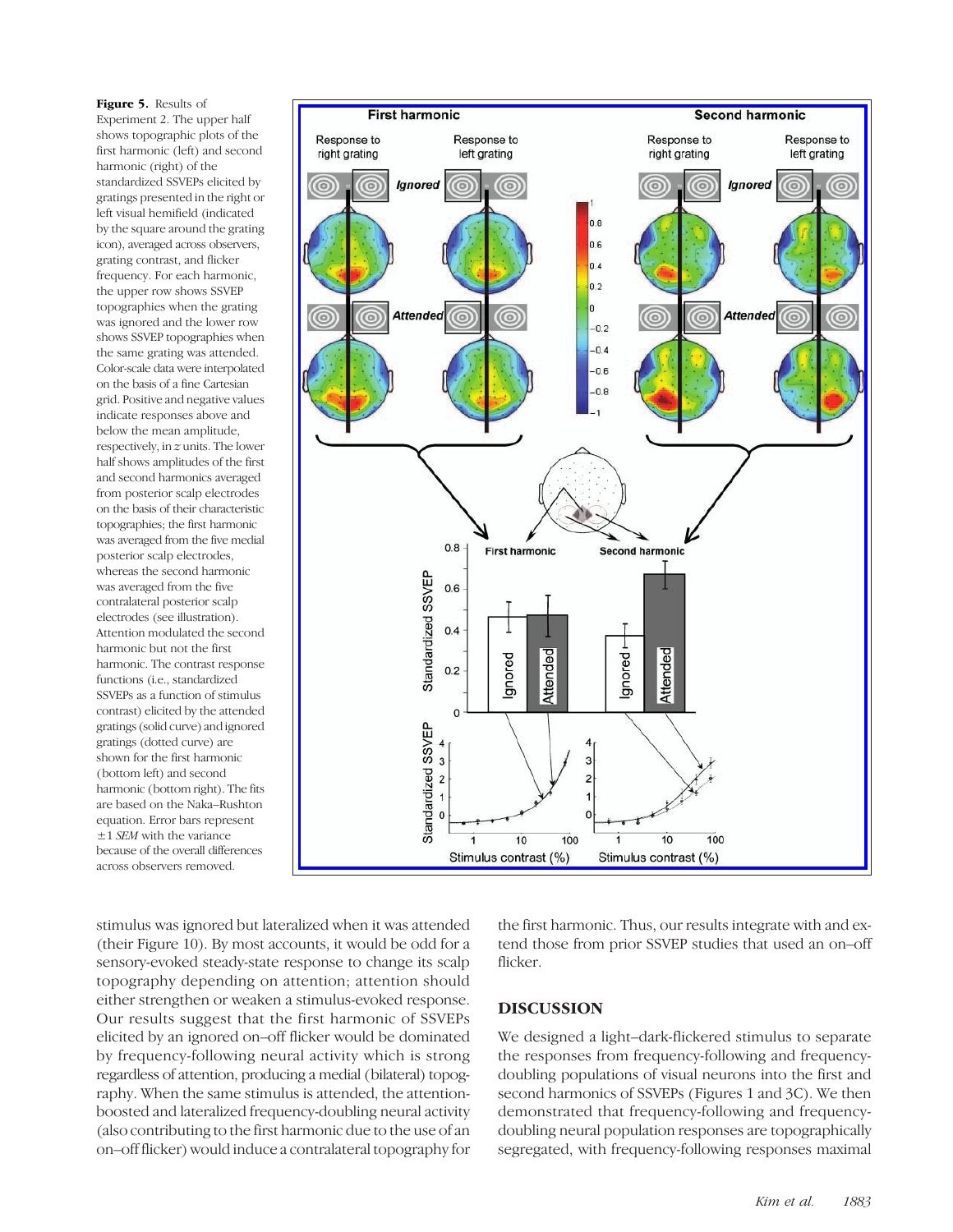Figure 5. Results of Experiment 2. The upper half shows topographic plots of the first harmonic (left) and second harmonic (right) of the standardized SSVEPs elicited by gratings presented in the right or left visual hemifield (indicated by the square around the grating icon), averaged across observers, grating contrast, and flicker frequency. For each harmonic, the upper row shows SSVEP topographies when the grating was ignored and the lower row shows SSVEP topographies when the same grating was attended. Color-scale data were interpolated on the basis of a fine Cartesian grid. Positive and negative values indicate responses above and below the mean amplitude, respectively, in z units. The lower half shows amplitudes of the first and second harmonics averaged from posterior scalp electrodes on the basis of their characteristic topographies; the first harmonic was averaged from the five medial posterior scalp electrodes, whereas the second harmonic was averaged from the five contralateral posterior scalp electrodes (see illustration). Attention modulated the second harmonic but not the first harmonic. The contrast response functions (i.e., standardized SSVEPs as a function of stimulus contrast) elicited by the attended gratings (solid curve) and ignored gratings (dotted curve) are shown for the first harmonic (bottom left) and second harmonic (bottom right). The fits are based on the Naka–Rushton equation. Error bars represent ±1 SEM with the variance because of the overall differences across observers removed.



stimulus was ignored but lateralized when it was attended (their Figure 10). By most accounts, it would be odd for a sensory-evoked steady-state response to change its scalp topography depending on attention; attention should either strengthen or weaken a stimulus-evoked response. Our results suggest that the first harmonic of SSVEPs elicited by an ignored on–off flicker would be dominated by frequency-following neural activity which is strong regardless of attention, producing a medial (bilateral) topography. When the same stimulus is attended, the attentionboosted and lateralized frequency-doubling neural activity (also contributing to the first harmonic due to the use of an on–off flicker) would induce a contralateral topography for the first harmonic. Thus, our results integrate with and extend those from prior SSVEP studies that used an on–off flicker.

# DISCUSSION

We designed a light–dark-flickered stimulus to separate the responses from frequency-following and frequencydoubling populations of visual neurons into the first and second harmonics of SSVEPs (Figures 1 and 3C). We then demonstrated that frequency-following and frequencydoubling neural population responses are topographically segregated, with frequency-following responses maximal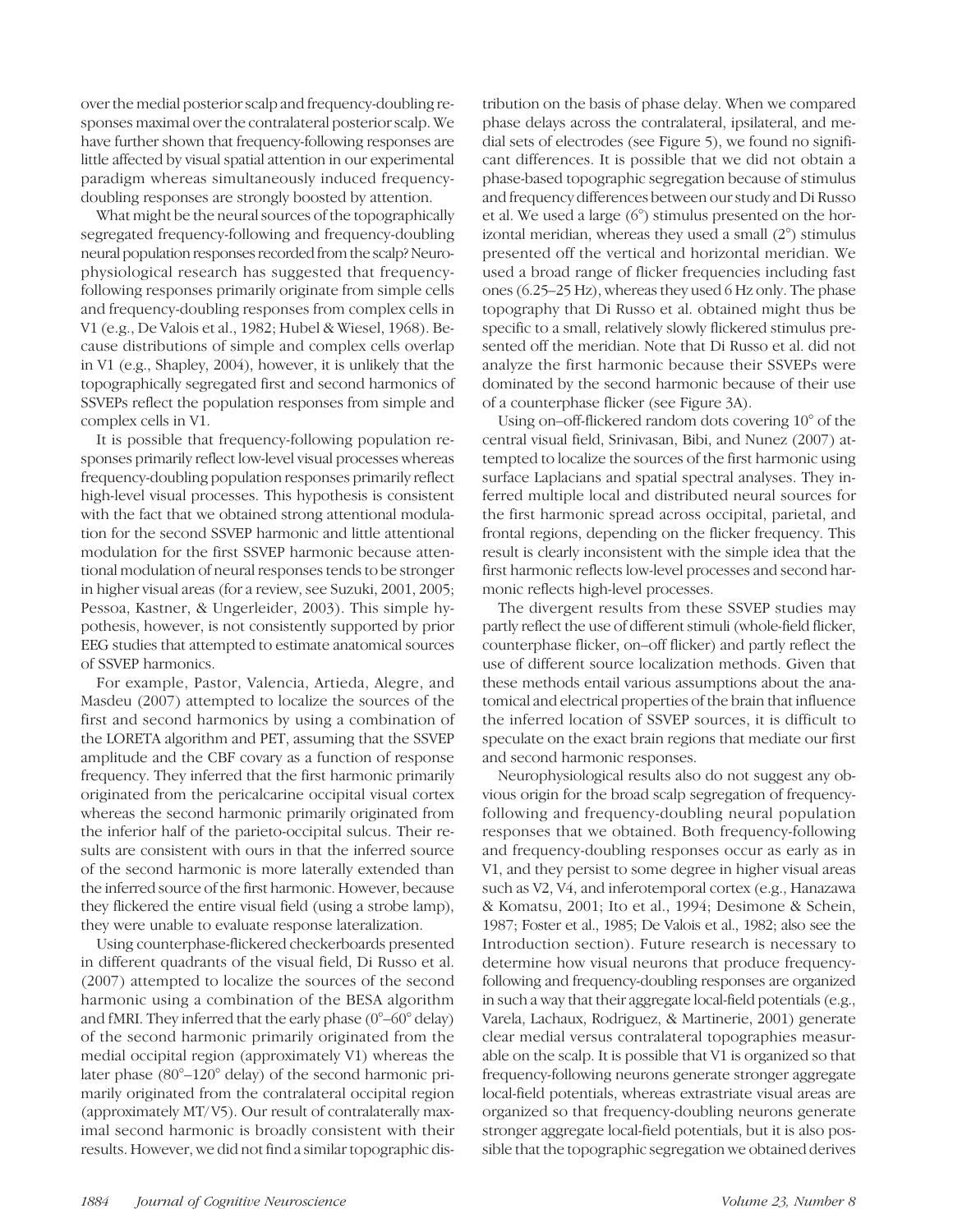over the medial posterior scalp and frequency-doubling responses maximal over the contralateral posterior scalp. We have further shown that frequency-following responses are little affected by visual spatial attention in our experimental paradigm whereas simultaneously induced frequencydoubling responses are strongly boosted by attention.

What might be the neural sources of the topographically segregated frequency-following and frequency-doubling neural population responses recorded from the scalp? Neurophysiological research has suggested that frequencyfollowing responses primarily originate from simple cells and frequency-doubling responses from complex cells in V1 (e.g., De Valois et al., 1982; Hubel & Wiesel, 1968). Because distributions of simple and complex cells overlap in V1 (e.g., Shapley, 2004), however, it is unlikely that the topographically segregated first and second harmonics of SSVEPs reflect the population responses from simple and complex cells in V1.

It is possible that frequency-following population responses primarily reflect low-level visual processes whereas frequency-doubling population responses primarily reflect high-level visual processes. This hypothesis is consistent with the fact that we obtained strong attentional modulation for the second SSVEP harmonic and little attentional modulation for the first SSVEP harmonic because attentional modulation of neural responses tends to be stronger in higher visual areas (for a review, see Suzuki, 2001, 2005; Pessoa, Kastner, & Ungerleider, 2003). This simple hypothesis, however, is not consistently supported by prior EEG studies that attempted to estimate anatomical sources of SSVEP harmonics.

For example, Pastor, Valencia, Artieda, Alegre, and Masdeu (2007) attempted to localize the sources of the first and second harmonics by using a combination of the LORETA algorithm and PET, assuming that the SSVEP amplitude and the CBF covary as a function of response frequency. They inferred that the first harmonic primarily originated from the pericalcarine occipital visual cortex whereas the second harmonic primarily originated from the inferior half of the parieto-occipital sulcus. Their results are consistent with ours in that the inferred source of the second harmonic is more laterally extended than the inferred source of the first harmonic. However, because they flickered the entire visual field (using a strobe lamp), they were unable to evaluate response lateralization.

Using counterphase-flickered checkerboards presented in different quadrants of the visual field, Di Russo et al. (2007) attempted to localize the sources of the second harmonic using a combination of the BESA algorithm and fMRI. They inferred that the early phase (0°–60° delay) of the second harmonic primarily originated from the medial occipital region (approximately V1) whereas the later phase (80°–120° delay) of the second harmonic primarily originated from the contralateral occipital region (approximately MT/ V5). Our result of contralaterally maximal second harmonic is broadly consistent with their results. However, we did not find a similar topographic distribution on the basis of phase delay. When we compared phase delays across the contralateral, ipsilateral, and medial sets of electrodes (see Figure 5), we found no significant differences. It is possible that we did not obtain a phase-based topographic segregation because of stimulus and frequency differences between our study and Di Russo et al. We used a large (6°) stimulus presented on the horizontal meridian, whereas they used a small (2°) stimulus presented off the vertical and horizontal meridian. We used a broad range of flicker frequencies including fast ones (6.25–25 Hz), whereas they used 6 Hz only. The phase topography that Di Russo et al. obtained might thus be specific to a small, relatively slowly flickered stimulus presented off the meridian. Note that Di Russo et al. did not analyze the first harmonic because their SSVEPs were dominated by the second harmonic because of their use of a counterphase flicker (see Figure 3A).

Using on–off-flickered random dots covering 10° of the central visual field, Srinivasan, Bibi, and Nunez (2007) attempted to localize the sources of the first harmonic using surface Laplacians and spatial spectral analyses. They inferred multiple local and distributed neural sources for the first harmonic spread across occipital, parietal, and frontal regions, depending on the flicker frequency. This result is clearly inconsistent with the simple idea that the first harmonic reflects low-level processes and second harmonic reflects high-level processes.

The divergent results from these SSVEP studies may partly reflect the use of different stimuli (whole-field flicker, counterphase flicker, on–off flicker) and partly reflect the use of different source localization methods. Given that these methods entail various assumptions about the anatomical and electrical properties of the brain that influence the inferred location of SSVEP sources, it is difficult to speculate on the exact brain regions that mediate our first and second harmonic responses.

Neurophysiological results also do not suggest any obvious origin for the broad scalp segregation of frequencyfollowing and frequency-doubling neural population responses that we obtained. Both frequency-following and frequency-doubling responses occur as early as in V1, and they persist to some degree in higher visual areas such as V2, V4, and inferotemporal cortex (e.g., Hanazawa & Komatsu, 2001; Ito et al., 1994; Desimone & Schein, 1987; Foster et al., 1985; De Valois et al., 1982; also see the Introduction section). Future research is necessary to determine how visual neurons that produce frequencyfollowing and frequency-doubling responses are organized in such a way that their aggregate local-field potentials (e.g., Varela, Lachaux, Rodriguez, & Martinerie, 2001) generate clear medial versus contralateral topographies measurable on the scalp. It is possible that V1 is organized so that frequency-following neurons generate stronger aggregate local-field potentials, whereas extrastriate visual areas are organized so that frequency-doubling neurons generate stronger aggregate local-field potentials, but it is also possible that the topographic segregation we obtained derives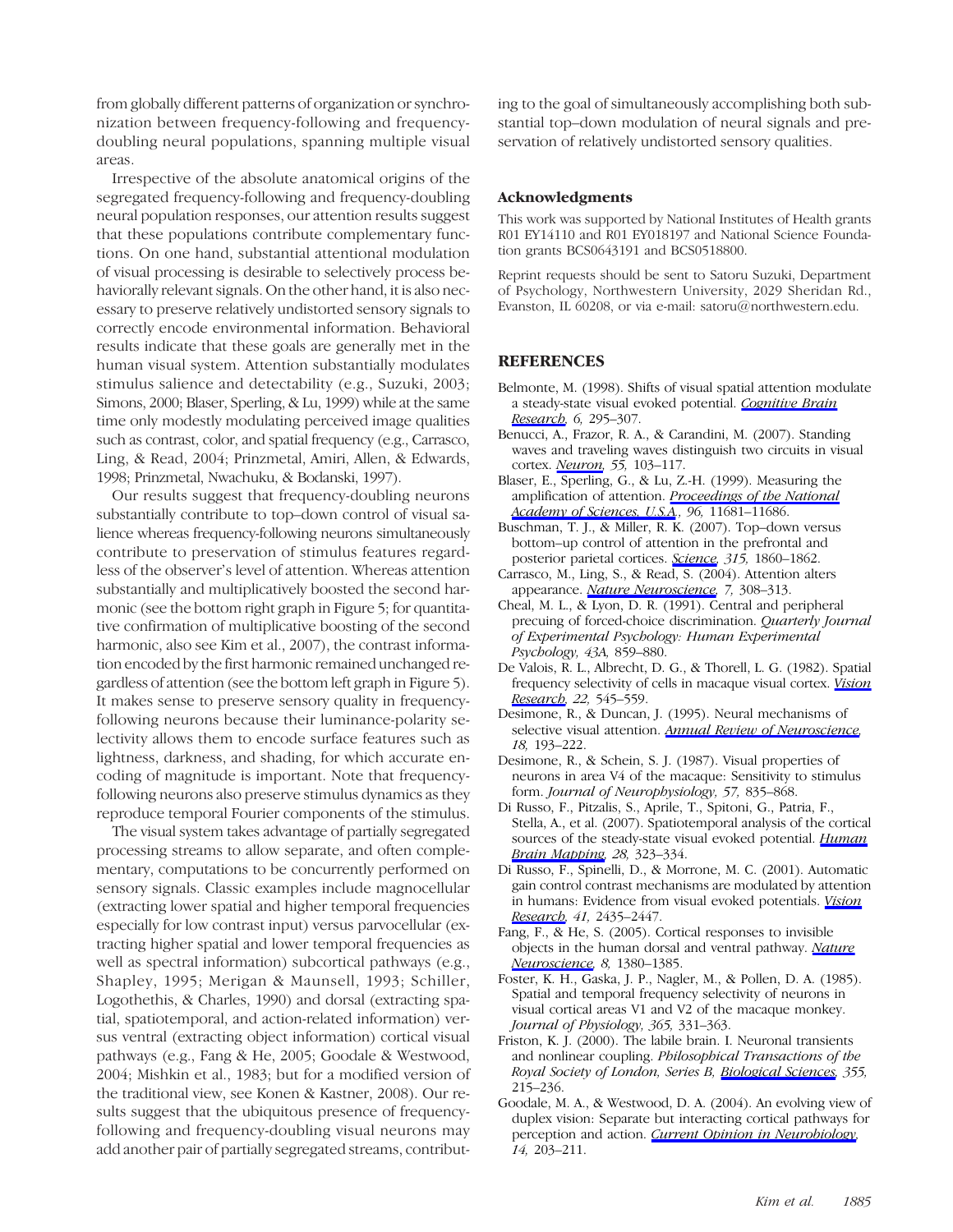from globally different patterns of organization or synchronization between frequency-following and frequencydoubling neural populations, spanning multiple visual areas.

Irrespective of the absolute anatomical origins of the segregated frequency-following and frequency-doubling neural population responses, our attention results suggest that these populations contribute complementary functions. On one hand, substantial attentional modulation of visual processing is desirable to selectively process behaviorally relevant signals. On the other hand, it is also necessary to preserve relatively undistorted sensory signals to correctly encode environmental information. Behavioral results indicate that these goals are generally met in the human visual system. Attention substantially modulates stimulus salience and detectability (e.g., Suzuki, 2003; Simons, 2000; Blaser, Sperling, & Lu, 1999) while at the same time only modestly modulating perceived image qualities such as contrast, color, and spatial frequency (e.g., Carrasco, Ling, & Read, 2004; Prinzmetal, Amiri, Allen, & Edwards, 1998; Prinzmetal, Nwachuku, & Bodanski, 1997).

Our results suggest that frequency-doubling neurons substantially contribute to top–down control of visual salience whereas frequency-following neurons simultaneously contribute to preservation of stimulus features regardless of the observer's level of attention. Whereas attention substantially and multiplicatively boosted the second harmonic (see the bottom right graph in Figure 5; for quantitative confirmation of multiplicative boosting of the second harmonic, also see Kim et al., 2007), the contrast information encoded by the first harmonic remained unchanged regardless of attention (see the bottom left graph in Figure 5). It makes sense to preserve sensory quality in frequencyfollowing neurons because their luminance-polarity selectivity allows them to encode surface features such as lightness, darkness, and shading, for which accurate encoding of magnitude is important. Note that frequencyfollowing neurons also preserve stimulus dynamics as they reproduce temporal Fourier components of the stimulus.

The visual system takes advantage of partially segregated processing streams to allow separate, and often complementary, computations to be concurrently performed on sensory signals. Classic examples include magnocellular (extracting lower spatial and higher temporal frequencies especially for low contrast input) versus parvocellular (extracting higher spatial and lower temporal frequencies as well as spectral information) subcortical pathways (e.g., Shapley, 1995; Merigan & Maunsell, 1993; Schiller, Logothethis, & Charles, 1990) and dorsal (extracting spatial, spatiotemporal, and action-related information) versus ventral (extracting object information) cortical visual pathways (e.g., Fang & He, 2005; Goodale & Westwood, 2004; Mishkin et al., 1983; but for a modified version of the traditional view, see Konen & Kastner, 2008). Our results suggest that the ubiquitous presence of frequencyfollowing and frequency-doubling visual neurons may add another pair of partially segregated streams, contribut-

ing to the goal of simultaneously accomplishing both substantial top–down modulation of neural signals and preservation of relatively undistorted sensory qualities.

#### Acknowledgments

This work was supported by National Institutes of Health grants R01 EY14110 and R01 EY018197 and National Science Foundation grants BCS0643191 and BCS0518800.

Reprint requests should be sent to Satoru Suzuki, Department of Psychology, Northwestern University, 2029 Sheridan Rd., Evanston, IL 60208, or via e-mail: satoru@northwestern.edu.

## REFERENCES

- Belmonte, M. (1998). Shifts of visual spatial attention modulate a steady-state visual evoked potential. Cognitive Brain Research, 6, 295–307.
- Benucci, A., Frazor, R. A., & Carandini, M. (2007). Standing waves and traveling waves distinguish two circuits in visual cortex. *Neuron*, 55, 103–117.
- Blaser, E., Sperling, G., & Lu, Z.-H. (1999). Measuring the amplification of attention. Proceedings of the National Academy of Sciences, U.S.A., 96, 11681-11686.
- Buschman, T. J., & Miller, R. K. (2007). Top–down versus bottom–up control of attention in the prefrontal and posterior parietal cortices. Science, 315, 1860-1862.
- Carrasco, M., Ling, S., & Read, S. (2004). Attention alters appearance. Nature Neuroscience, 7, 308-313.
- Cheal, M. L., & Lyon, D. R. (1991). Central and peripheral precuing of forced-choice discrimination. Quarterly Journal of Experimental Psychology: Human Experimental Psychology, 43A, 859–880.
- De Valois, R. L., Albrecht, D. G., & Thorell, L. G. (1982). Spatial frequency selectivity of cells in macaque visual cortex. Vision Research, 22, 545–559.
- Desimone, R., & Duncan, J. (1995). Neural mechanisms of selective visual attention. **Annual Review of Neuroscience**, 18, 193–222.
- Desimone, R., & Schein, S. J. (1987). Visual properties of neurons in area V4 of the macaque: Sensitivity to stimulus form. Journal of Neurophysiology, 57, 835–868.
- Di Russo, F., Pitzalis, S., Aprile, T., Spitoni, G., Patria, F., Stella, A., et al. (2007). Spatiotemporal analysis of the cortical sources of the steady-state visual evoked potential. Human Brain Mapping, 28, 323–334.
- Di Russo, F., Spinelli, D., & Morrone, M. C. (2001). Automatic gain control contrast mechanisms are modulated by attention in humans: Evidence from visual evoked potentials. Vision Research, 41, 2435-2447.
- Fang, F., & He, S. (2005). Cortical responses to invisible objects in the human dorsal and ventral pathway. Nature Neuroscience, 8, 1380-1385.
- Foster, K. H., Gaska, J. P., Nagler, M., & Pollen, D. A. (1985). Spatial and temporal frequency selectivity of neurons in visual cortical areas V1 and V2 of the macaque monkey. Journal of Physiology, 365, 331–363.
- Friston, K. J. (2000). The labile brain. I. Neuronal transients and nonlinear coupling. Philosophical Transactions of the Royal Society of London, Series B, Biological Sciences, 355, 215–236.
- Goodale, M. A., & Westwood, D. A. (2004). An evolving view of duplex vision: Separate but interacting cortical pathways for perception and action. Current Opinion in Neurobiology, 14, 203–211.